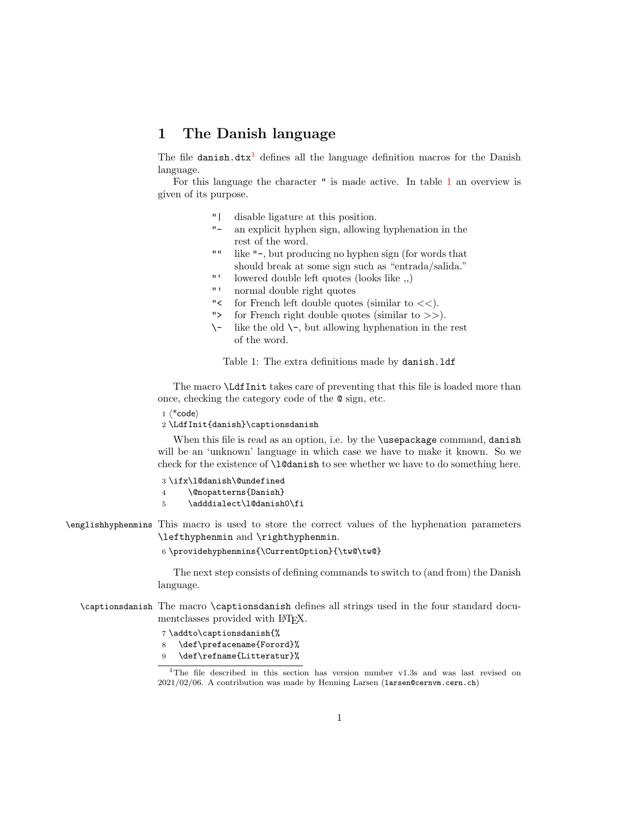## 1 The Danish language

The file danish.dtx<sup>[1](#page-0-0)</sup> defines all the language definition macros for the Danish language.

For this language the character " is made active. In table [1](#page-0-1) an overview is given of its purpose.

- "| disable ligature at this position.
- "- an explicit hyphen sign, allowing hyphenation in the rest of the word.
- "" like "-, but producing no hyphen sign (for words that should break at some sign such as "entrada/salida."
- "' lowered double left quotes (looks like ,,)
- "' normal double right quotes
- "< for French left double quotes (similar to  $<<$ ).
- "> for French right double quotes (similar to >>).
- $\setminus$  like the old  $\setminus$ -, but allowing hyphenation in the rest of the word.

<span id="page-0-1"></span>Table 1: The extra definitions made by danish.ldf

The macro \LdfInit takes care of preventing that this file is loaded more than once, checking the category code of the @ sign, etc.

 $1 \langle *code \rangle$ 

2 \LdfInit{danish}\captionsdanish

When this file is read as an option, i.e. by the **\usepackage** command, danish will be an 'unknown' language in which case we have to make it known. So we check for the existence of **\l@danish** to see whether we have to do something here.

3 \ifx\l@danish\@undefined

4 \@nopatterns{Danish}

5 \adddialect\l@danish0\fi

\englishhyphenmins This macro is used to store the correct values of the hyphenation parameters \lefthyphenmin and \righthyphenmin.

6 \providehyphenmins{\CurrentOption}{\tw@\tw@}

The next step consists of defining commands to switch to (and from) the Danish language.

\captionsdanish The macro \captionsdanish defines all strings used in the four standard documentclasses provided with L<sup>AT</sup>FX.

7 \addto\captionsdanish{%

8 \def\prefacename{Forord}%

9 \def\refname{Litteratur}%

<span id="page-0-0"></span><sup>1</sup>The file described in this section has version number v1.3s and was last revised on 2021/02/06. A contribution was made by Henning Larsen (larsen@cernvm.cern.ch)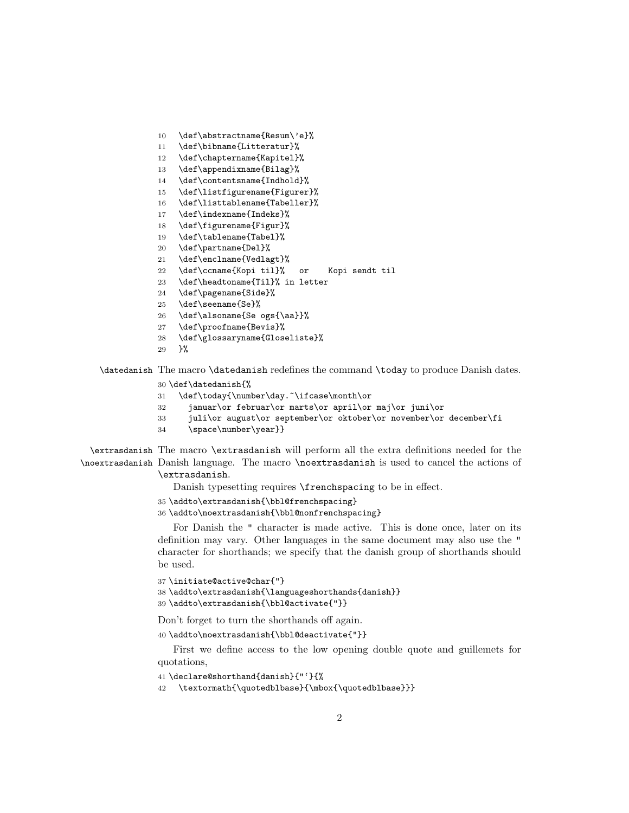- \def\abstractname{Resum\'e}%
- \def\bibname{Litteratur}%
- \def\chaptername{Kapitel}%
- \def\appendixname{Bilag}%
- \def\contentsname{Indhold}%
- \def\listfigurename{Figurer}%
- \def\listtablename{Tabeller}%
- \def\indexname{Indeks}%
- \def\figurename{Figur}%
- \def\tablename{Tabel}%
- \def\partname{Del}%
- \def\enclname{Vedlagt}%
- \def\ccname{Kopi til}% or Kopi sendt til
- \def\headtoname{Til}% in letter
- \def\pagename{Side}%
- \def\seename{Se}%
- \def\alsoname{Se ogs{\aa}}%
- \def\proofname{Bevis}%
- \def\glossaryname{Gloseliste}%
- }%

\datedanish The macro \datedanish redefines the command \today to produce Danish dates.

- \def\datedanish{%
- 31 \def\today{\number\day.~\ifcase\month\or
- januar\or februar\or marts\or april\or maj\or juni\or
- juli\or august\or september\or oktober\or november\or december\fi
- 34 \space\number\year}}

```
\extrasdanish
The macro \extrasdanish will perform all the extra definitions needed for the
\noextrasdanish
Danish language. The macro \noextrasdanish is used to cancel the actions of
                \extrasdanish.
```
Danish typesetting requires **\frenchspacing** to be in effect.

- \addto\extrasdanish{\bbl@frenchspacing}
- \addto\noextrasdanish{\bbl@nonfrenchspacing}

For Danish the " character is made active. This is done once, later on its definition may vary. Other languages in the same document may also use the " character for shorthands; we specify that the danish group of shorthands should be used.

```
37 \initiate@active@char{"}
38 \addto\extrasdanish{\languageshorthands{danish}}
39 \addto\extrasdanish{\bbl@activate{"}}
```
Don't forget to turn the shorthands off again.

\addto\noextrasdanish{\bbl@deactivate{"}}

First we define access to the low opening double quote and guillemets for quotations,

```
41 \declare@shorthand{danish}{"'}{%
```
42 \textormath{\quotedblbase}{\mbox{\quotedblbase}}}